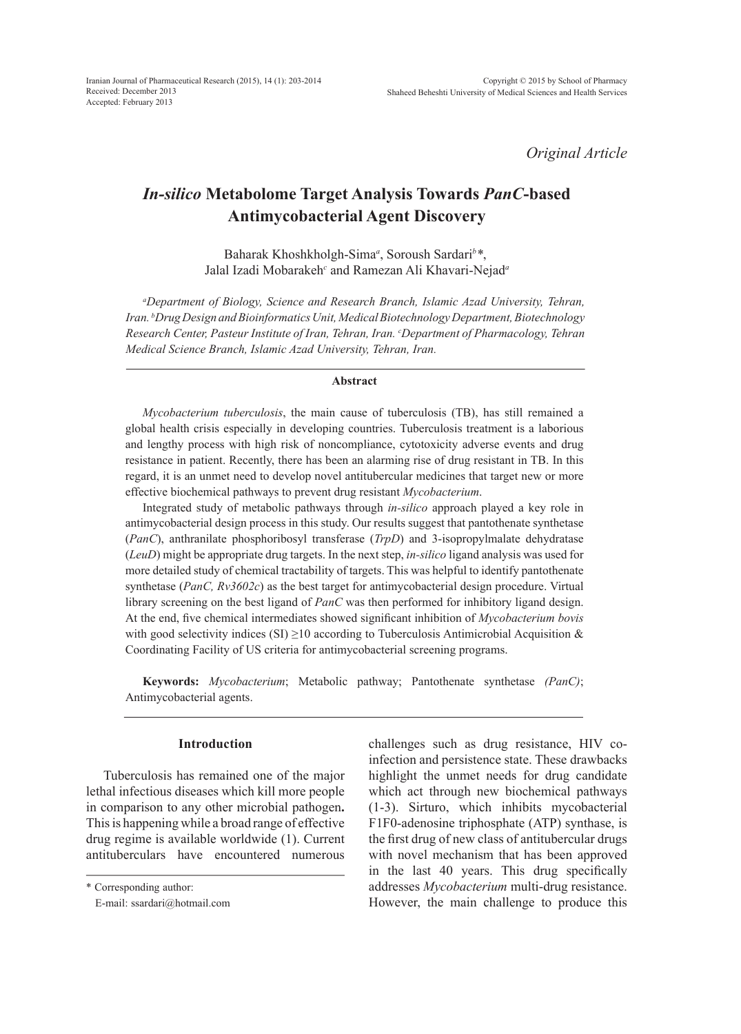*Original Article*

# *In-silico* **Metabolome Target Analysis Towards** *PanC***-based Antimycobacterial Agent Discovery**

Baharak Khoshkholgh-Sima*<sup>a</sup>* , Soroush Sardari*<sup>b</sup> \**, Jalal Izadi Mobarakeh*<sup>c</sup>* and Ramezan Ali Khavari-Nejad*<sup>a</sup>*

*a Department of Biology, Science and Research Branch, Islamic Azad University, Tehran, Iran. b Drug Design and Bioinformatics Unit, Medical Biotechnology Department, Biotechnology*  Research Center, Pasteur Institute of Iran, Tehran, Iran. *°Department of Pharmacology, Tehran Medical Science Branch, Islamic Azad University, Tehran, Iran.*

#### **Abstract**

*Mycobacterium tuberculosis*, the main cause of tuberculosis (TB), has still remained a global health crisis especially in developing countries. Tuberculosis treatment is a laborious and lengthy process with high risk of noncompliance, cytotoxicity adverse events and drug resistance in patient. Recently, there has been an alarming rise of drug resistant in TB. In this regard, it is an unmet need to develop novel antitubercular medicines that target new or more effective biochemical pathways to prevent drug resistant *Mycobacterium*.

Integrated study of metabolic pathways through *in-silico* approach played a key role in antimycobacterial design process in this study. Our results suggest that pantothenate synthetase (*PanC*), anthranilate phosphoribosyl transferase (*TrpD*) and 3-isopropylmalate dehydratase (*LeuD*) might be appropriate drug targets. In the next step, *in-silico* ligand analysis was used for more detailed study of chemical tractability of targets. This was helpful to identify pantothenate synthetase (*PanC, Rv3602c*) as the best target for antimycobacterial design procedure. Virtual library screening on the best ligand of *PanC* was then performed for inhibitory ligand design. At the end, five chemical intermediates showed significant inhibition of *Mycobacterium bovis* with good selectivity indices (SI)  $\geq$ 10 according to Tuberculosis Antimicrobial Acquisition & Coordinating Facility of US criteria for antimycobacterial screening programs.

**Keywords:** *Mycobacterium*; Metabolic pathway; Pantothenate synthetase *(PanC)*; Antimycobacterial agents.

## **Introduction**

Tuberculosis has remained one of the major lethal infectious diseases which kill more people in comparison to any other microbial pathogen**.**  This is happening while a broad range of effective drug regime is available worldwide (1). Current antituberculars have encountered numerous challenges such as drug resistance, HIV coinfection and persistence state. These drawbacks highlight the unmet needs for drug candidate which act through new biochemical pathways (1-3). Sirturo, which inhibits mycobacterial F1F0-adenosine triphosphate (ATP) synthase, is the first drug of new class of antitubercular drugs with novel mechanism that has been approved in the last 40 years. This drug specifically addresses *Mycobacterium* multi-drug resistance. However, the main challenge to produce this

<sup>\*</sup> Corresponding author:

E-mail: ssardari@hotmail.com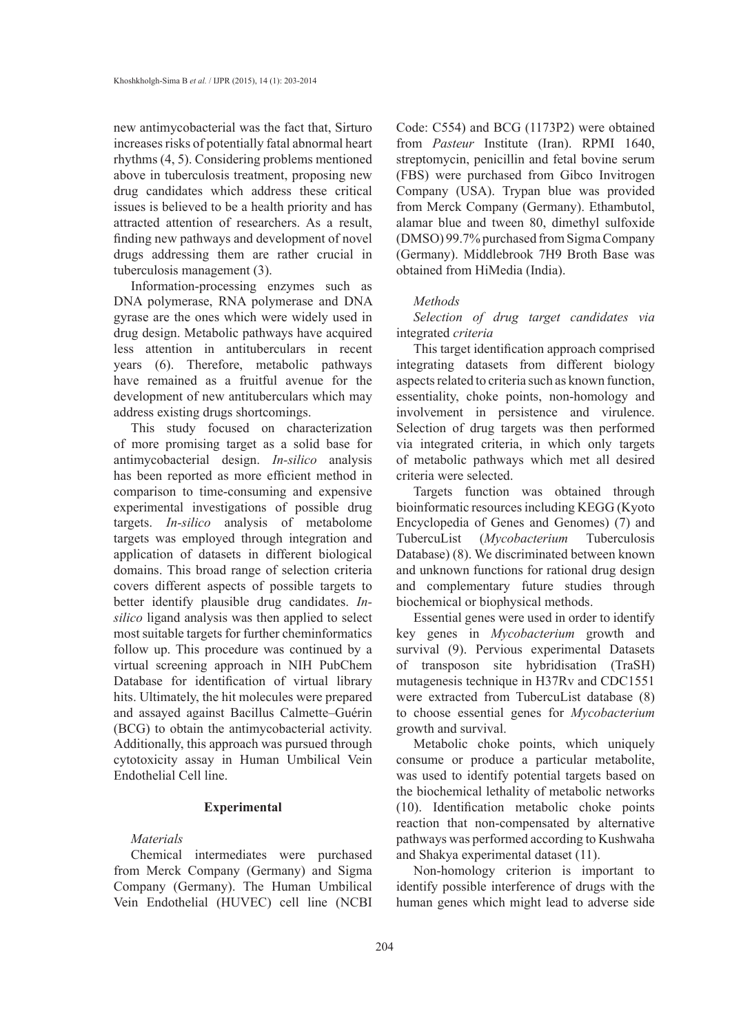new antimycobacterial was the fact that, Sirturo increases risks of potentially fatal abnormal heart rhythms (4, 5). Considering problems mentioned above in tuberculosis treatment, proposing new drug candidates which address these critical issues is believed to be a health priority and has attracted attention of researchers. As a result, finding new pathways and development of novel drugs addressing them are rather crucial in tuberculosis management (3).

Information-processing enzymes such as DNA polymerase, RNA polymerase and DNA gyrase are the ones which were widely used in drug design. Metabolic pathways have acquired less attention in antituberculars in recent years (6). Therefore, metabolic pathways have remained as a fruitful avenue for the development of new antituberculars which may address existing drugs shortcomings.

This study focused on characterization of more promising target as a solid base for antimycobacterial design. *In-silico* analysis has been reported as more efficient method in comparison to time-consuming and expensive experimental investigations of possible drug targets. *In-silico* analysis of metabolome targets was employed through integration and application of datasets in different biological domains. This broad range of selection criteria covers different aspects of possible targets to better identify plausible drug candidates. *Insilico* ligand analysis was then applied to select most suitable targets for further cheminformatics follow up. This procedure was continued by a virtual screening approach in NIH PubChem Database for identification of virtual library hits. Ultimately, the hit molecules were prepared and assayed against Bacillus Calmette–Guérin (BCG) to obtain the antimycobacterial activity. Additionally, this approach was pursued through cytotoxicity assay in Human Umbilical Vein Endothelial Cell line.

### **Experimental**

# *Materials*

Chemical intermediates were purchased from Merck Company (Germany) and Sigma Company (Germany). The Human Umbilical Vein Endothelial (HUVEC) cell line (NCBI Code: C554) and BCG (1173P2) were obtained from *Pasteur* Institute (Iran). RPMI 1640, streptomycin, penicillin and fetal bovine serum (FBS) were purchased from Gibco Invitrogen Company (USA). Trypan blue was provided from Merck Company (Germany). Ethambutol, alamar blue and tween 80, dimethyl sulfoxide (DMSO) 99.7% purchased from Sigma Company (Germany). Middlebrook 7H9 Broth Base was obtained from HiMedia (India).

#### *Methods*

*Selection of drug target candidates via*  integrated *criteria*

This target identification approach comprised integrating datasets from different biology aspects related to criteria such as known function, essentiality, choke points, non-homology and involvement in persistence and virulence. Selection of drug targets was then performed via integrated criteria, in which only targets of metabolic pathways which met all desired criteria were selected.

Targets function was obtained through bioinformatic resources including KEGG (Kyoto Encyclopedia of Genes and Genomes) (7) and TubercuList (*Mycobacterium* Tuberculosis Database) (8). We discriminated between known and unknown functions for rational drug design and complementary future studies through biochemical or biophysical methods.

Essential genes were used in order to identify key genes in *Mycobacterium* growth and survival (9). Pervious experimental Datasets of transposon site hybridisation (TraSH) mutagenesis technique in H37Rv and CDC1551 were extracted from TubercuList database (8) to choose essential genes for *Mycobacterium*  growth and survival.

Metabolic choke points, which uniquely consume or produce a particular metabolite, was used to identify potential targets based on the biochemical lethality of metabolic networks (10). Identification metabolic choke points reaction that non-compensated by alternative pathways was performed according to Kushwaha and Shakya experimental dataset (11).

Non-homology criterion is important to identify possible interference of drugs with the human genes which might lead to adverse side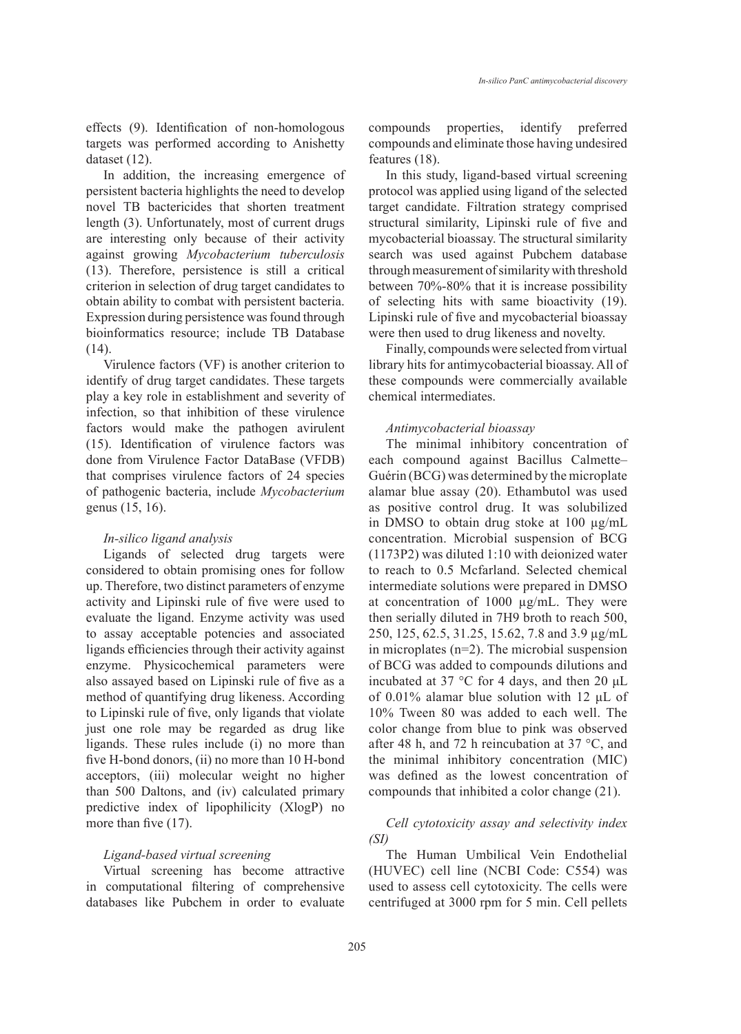effects (9). Identification of non-homologous targets was performed according to Anishetty dataset (12).

In addition, the increasing emergence of persistent bacteria highlights the need to develop novel TB bactericides that shorten treatment length (3). Unfortunately, most of current drugs are interesting only because of their activity against growing *Mycobacterium tuberculosis* (13). Therefore, persistence is still a critical criterion in selection of drug target candidates to obtain ability to combat with persistent bacteria. Expression during persistence was found through bioinformatics resource; include TB Database (14).

Virulence factors (VF) is another criterion to identify of drug target candidates. These targets play a key role in establishment and severity of infection, so that inhibition of these virulence factors would make the pathogen avirulent (15). Identification of virulence factors was done from Virulence Factor DataBase (VFDB) that comprises virulence factors of 24 species of pathogenic bacteria, include *Mycobacterium* genus (15, 16).

# *In-silico ligand analysis*

Ligands of selected drug targets were considered to obtain promising ones for follow up. Therefore, two distinct parameters of enzyme activity and Lipinski rule of five were used to evaluate the ligand. Enzyme activity was used to assay acceptable potencies and associated ligands efficiencies through their activity against enzyme. Physicochemical parameters were also assayed based on Lipinski rule of five as a method of quantifying drug likeness. According to Lipinski rule of five, only ligands that violate just one role may be regarded as drug like ligands. These rules include (i) no more than five H-bond donors, (ii) no more than 10 H-bond acceptors, (iii) molecular weight no higher than 500 Daltons, and (iv) calculated primary predictive index of lipophilicity (XlogP) no more than five (17).

# *Ligand-based virtual screening*

Virtual screening has become attractive in computational filtering of comprehensive databases like Pubchem in order to evaluate compounds properties, identify preferred compounds and eliminate those having undesired features (18).

In this study, ligand-based virtual screening protocol was applied using ligand of the selected target candidate. Filtration strategy comprised structural similarity, Lipinski rule of five and mycobacterial bioassay. The structural similarity search was used against Pubchem database through measurement of similarity with threshold between 70%-80% that it is increase possibility of selecting hits with same bioactivity (19). Lipinski rule of five and mycobacterial bioassay were then used to drug likeness and novelty.

Finally, compounds were selected from virtual library hits for antimycobacterial bioassay. All of these compounds were commercially available chemical intermediates.

### *Antimycobacterial bioassay*

The minimal inhibitory concentration of each compound against Bacillus Calmette– Guérin (BCG) was determined by the microplate alamar blue assay (20). Ethambutol was used as positive control drug. It was solubilized in DMSO to obtain drug stoke at 100 µg/mL concentration. Microbial suspension of BCG (1173P2) was diluted 1:10 with deionized water to reach to 0.5 Mcfarland. Selected chemical intermediate solutions were prepared in DMSO at concentration of 1000 µg/mL. They were then serially diluted in 7H9 broth to reach 500, 250, 125, 62.5, 31.25, 15.62, 7.8 and 3.9 µg/mL in microplates (n=2). The microbial suspension of BCG was added to compounds dilutions and incubated at 37 °C for 4 days, and then 20 μL of 0.01% alamar blue solution with 12 μL of 10% Tween 80 was added to each well. The color change from blue to pink was observed after 48 h, and 72 h reincubation at 37 °C, and the minimal inhibitory concentration (MIC) was defined as the lowest concentration of compounds that inhibited a color change (21).

# *Cell cytotoxicity assay and selectivity index (SI)*

The Human Umbilical Vein Endothelial (HUVEC) cell line (NCBI Code: C554) was used to assess cell cytotoxicity. The cells were centrifuged at 3000 rpm for 5 min. Cell pellets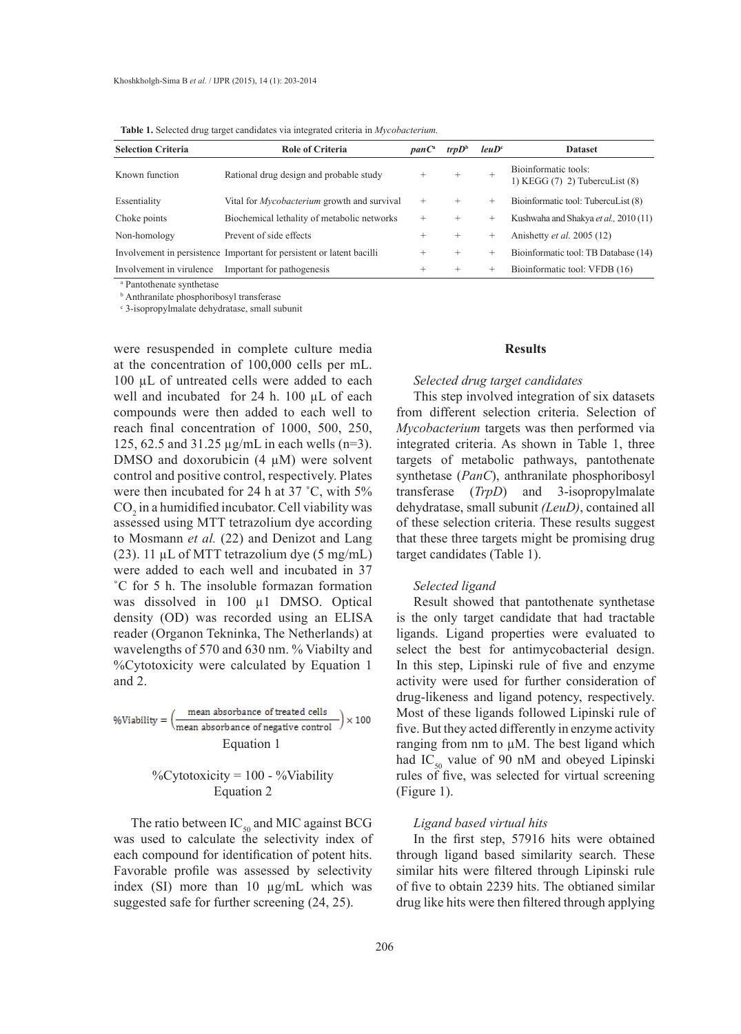**Table 1.** Selected drug target candidates via integrated criteria in *Mycobacterium.*

| <b>Selection Criteria</b> | <b>Role of Criteria</b>                                               | panC <sup>a</sup> | trpD <sup>b</sup> | leuD <sup>c</sup> | <b>Dataset</b>                                             |
|---------------------------|-----------------------------------------------------------------------|-------------------|-------------------|-------------------|------------------------------------------------------------|
| Known function            | Rational drug design and probable study                               | $^{+}$            | $^{+}$            | $^{+}$            | Bioinformatic tools:<br>1) KEGG $(7)$ 2) TubercuList $(8)$ |
| Essentiality              | Vital for <i>Mycobacterium</i> growth and survival                    | $^{+}$            | $^{+}$            | $^{+}$            | Bioinformatic tool: TubercuList (8)                        |
| Choke points              | Biochemical lethality of metabolic networks                           | $^{+}$            | $^{+}$            | $^{+}$            | Kushwaha and Shakya et al., 2010 (11)                      |
| Non-homology              | Prevent of side effects                                               | $^+$              | $^{+}$            | $\pm$             | Anishetty <i>et al.</i> 2005 (12)                          |
|                           | Involvement in persistence Important for persistent or latent bacilli | $^{+}$            | $^{+}$            | $\pm$             | Bioinformatic tool: TB Database (14)                       |
| Involvement in virulence  | Important for pathogenesis                                            | $^+$              | $^{+}$            | $\pm$             | Bioinformatic tool: VFDB (16)                              |

a Pantothenate synthetase

b Anthranilate phosphoribosyl transferase

c 3-isopropylmalate dehydratase, small subunit

were resuspended in complete culture media at the concentration of 100,000 cells per mL. 100 µL of untreated cells were added to each well and incubated for 24 h. 100 µL of each compounds were then added to each well to reach final concentration of 1000, 500, 250, 125, 62.5 and 31.25 µg/mL in each wells (n=3). DMSO and doxorubicin  $(4 \mu M)$  were solvent control and positive control, respectively. Plates were then incubated for 24 h at 37 ˚C, with 5%  $CO<sub>2</sub>$  in a humidified incubator. Cell viability was assessed using MTT tetrazolium dye according to Mosmann *et al.* (22) and Denizot and Lang (23). 11  $\mu$ L of MTT tetrazolium dye (5 mg/mL) were added to each well and incubated in 37 ˚C for 5 h. The insoluble formazan formation was dissolved in 100  $\mu$ 1 DMSO. Optical density (OD) was recorded using an ELISA reader (Organon Tekninka, The Netherlands) at wavelengths of 570 and 630 nm. % Viabilty and %Cytotoxicity were calculated by Equation 1 and 2.

 $\% \text{Viability} = \left(\frac{\text{mean absorbance of treated cells}}{\text{mean absorbance of negative control}}\right) \times 100$ Equation 1

# %Cytotoxicity = 100 - %Viability Equation 2

The ratio between  $IC_{50}$  and MIC against BCG was used to calculate the selectivity index of each compound for identification of potent hits. Favorable profile was assessed by selectivity index (SI) more than 10 µg/mL which was suggested safe for further screening (24, 25).

## **Results**

#### *Selected drug target candidates*

This step involved integration of six datasets from different selection criteria. Selection of *Mycobacterium* targets was then performed via integrated criteria. As shown in Table 1, three targets of metabolic pathways, pantothenate synthetase (*PanC*), anthranilate phosphoribosyl transferase (*TrpD*) and 3-isopropylmalate dehydratase, small subunit *(LeuD)*, contained all of these selection criteria. These results suggest that these three targets might be promising drug target candidates (Table 1).

#### *Selected ligand*

Result showed that pantothenate synthetase is the only target candidate that had tractable ligands. Ligand properties were evaluated to select the best for antimycobacterial design. In this step, Lipinski rule of five and enzyme activity were used for further consideration of drug-likeness and ligand potency, respectively. Most of these ligands followed Lipinski rule of five. But they acted differently in enzyme activity ranging from nm to  $\mu$ M. The best ligand which had IC<sub>50</sub> value of 90 nM and obeyed Lipinski rules of five, was selected for virtual screening (Figure 1).

## *Ligand based virtual hits*

In the first step, 57916 hits were obtained through ligand based similarity search. These similar hits were filtered through Lipinski rule of five to obtain 2239 hits. The obtianed similar drug like hits were then filtered through applying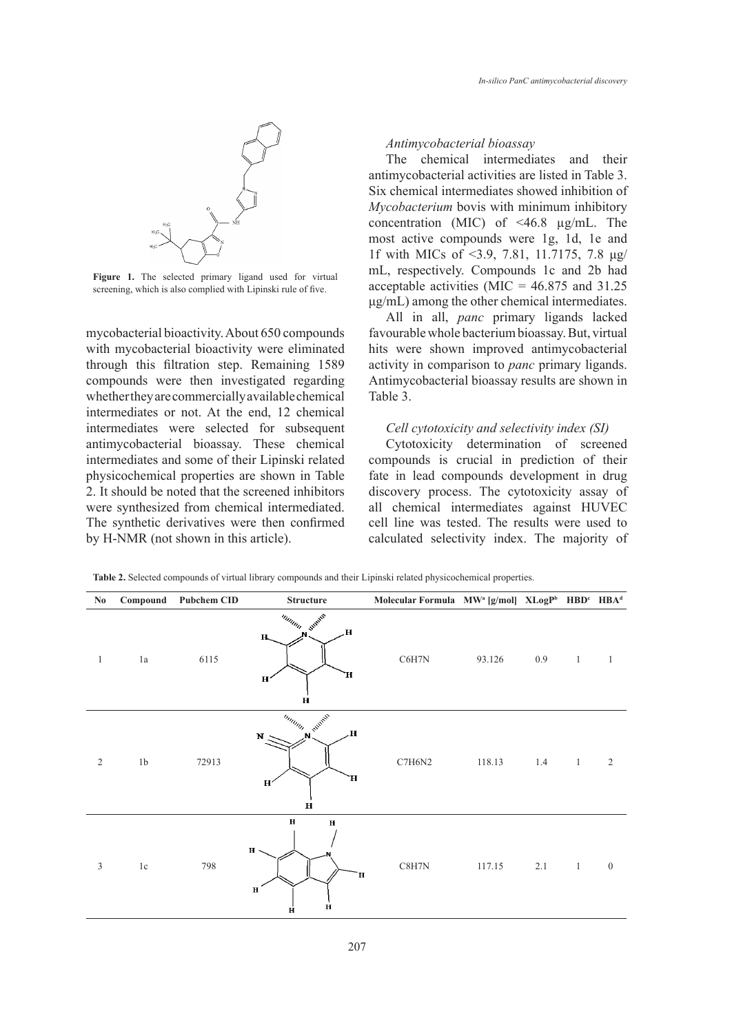

Figure 1. The selected primary ligand used for virtual screening, which is also complied with Lipinski rule of five.

mycobacterial bioactivity. About 650 compounds with mycobacterial bioactivity were eliminated through this filtration step. Remaining 1589 compounds were then investigated regarding whether they are commercially available chemical intermediates or not. At the end, 12 chemical intermediates were selected for subsequent antimycobacterial bioassay. These chemical intermediates and some of their Lipinski related physicochemical properties are shown in Table 2. It should be noted that the screened inhibitors were synthesized from chemical intermediated. The synthetic derivatives were then confirmed by H-NMR (not shown in this article).

# *Antimycobacterial bioassay*

The chemical intermediates and their antimycobacterial activities are listed in Table 3. Six chemical intermediates showed inhibition of *Mycobacterium* bovis with minimum inhibitory concentration (MIC) of <46.8 µg/mL. The most active compounds were 1g, 1d, 1e and 1f with MICs of <3.9, 7.81, 11.7175, 7.8 μg/ mL, respectively. Compounds 1c and 2b had acceptable activities (MIC =  $46.875$  and 31.25 μg/mL) among the other chemical intermediates.

All in all, *panc* primary ligands lacked favourable whole bacterium bioassay. But, virtual hits were shown improved antimycobacterial activity in comparison to *panc* primary ligands. Antimycobacterial bioassay results are shown in Table 3.

## *Cell cytotoxicity and selectivity index (SI)*

Cytotoxicity determination of screened compounds is crucial in prediction of their fate in lead compounds development in drug discovery process. The cytotoxicity assay of all chemical intermediates against HUVEC cell line was tested. The results were used to calculated selectivity index. The majority of

| $\mathbf{N}\mathbf{0}$ | Compound       | <b>Pubchem CID</b> | <b>Structure</b>                                                           | Molecular Formula MW <sup>a</sup> [g/mol] XLogP <sup>b</sup> HBD <sup>c</sup> HBA <sup>d</sup> |        |     |                |                  |
|------------------------|----------------|--------------------|----------------------------------------------------------------------------|------------------------------------------------------------------------------------------------|--------|-----|----------------|------------------|
| $\mathbf{1}$           | $1\mathrm{a}$  | 6115               | Illinon Sweet<br>$\mathbf{H}$<br>Н,<br>Ή,<br>$\mathbf H$<br>$\mathbf H$    | C6H7N                                                                                          | 93.126 | 0.9 | $\mathbf{1}$   | $\mathbf{1}$     |
| $\overline{2}$         | 1 <sub>b</sub> | 72913              | Immin Runnell<br>H.<br>$N_{\odot}$<br>Ή<br>H'<br>$\mathbf H$               | C7H6N2                                                                                         | 118.13 | 1.4 | $\sim$ 1       | $\sqrt{2}$       |
| $\mathfrak z$          | $1\mathrm{c}$  | 798                | $\mathbf H$<br>$\mathbf H$<br>$\bf H$<br>Ή<br>$\bf H$<br>$\mathbf{H}$<br>H | $\text{C8H7N}$                                                                                 | 117.15 | 2.1 | $\overline{1}$ | $\boldsymbol{0}$ |

**Table 2.** Selected compounds of virtual library compounds and their Lipinski related physicochemical properties.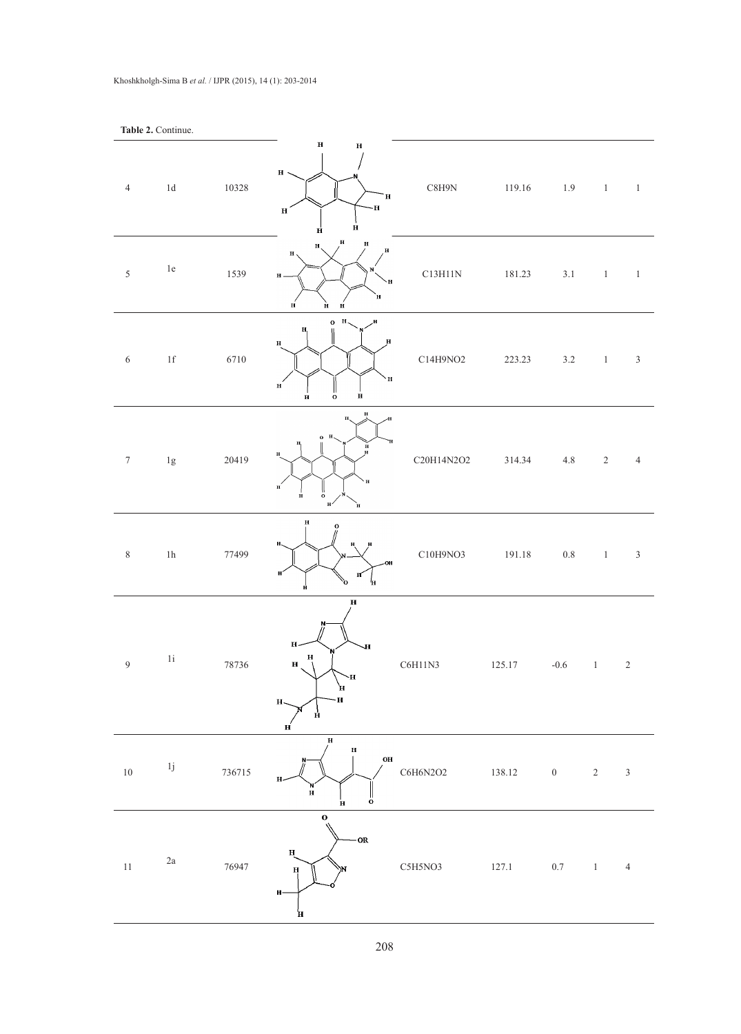|                  | Table 2. Continue.       |        |                                                                                                                            |                  |        |                                                                         |                                     |                |
|------------------|--------------------------|--------|----------------------------------------------------------------------------------------------------------------------------|------------------|--------|-------------------------------------------------------------------------|-------------------------------------|----------------|
| $\overline{4}$   | $1d$                     | 10328  | $\overline{\mathbf{H}}$<br>$\bf H$<br>$H$ .<br>Н<br>·H<br>$\mathbf{H}$<br>$\dot{H}$<br>Ĥ                                   | $\text{C8H9N}{}$ | 119.16 |                                                                         | $1.9 \qquad \quad 1 \qquad \quad 1$ |                |
| $\sqrt{5}$       | 1e                       | 1539   | $\mathbf H$<br>$\, {\bf H}$<br>$\mathbf{H}$<br>H<br>$\mathbf H$<br>$\mathbf H$ .<br>H<br>`H<br>$\mathbf H$<br>Ĥ<br>$\bf H$ | C13H11N          | 181.23 | 3.1                                                                     | $\overline{1}$                      | $\overline{1}$ |
| $\sqrt{6}$       | $1\ensuremath{\mbox{f}}$ | 6710   | $0$ H,<br>H<br>H,<br>н<br>$\mathbf H$<br>$\mathbf H$<br>$\mathbf{H}$<br>$\mathbf{H}$<br>$\ddot{\mathbf{o}}$<br>$\bf H$     | C14H9NO2         | 223.23 | $3.2$                                                                   | $\overline{1}$                      | $\sqrt{3}$     |
| $\boldsymbol{7}$ | $1\mathrm{g}$            | 20419  | $\bf H$<br>o н.<br>$_{\rm H}^{\rm H}$<br>н<br>H<br>$\mathbf{H}^{'}$<br>$\ddot{\circ}$<br>Ĥ<br>$_{\rm H}$ /<br>`н           | C20H14N2O2       | 314.34 | $4.8\,$                                                                 | $\sqrt{2}$                          | $\overline{4}$ |
| $\,$ 8 $\,$      | $1\mathrm{h}$            | 77499  | Н<br>$\mathbf{o}$<br>н.<br>н<br>н<br>Ħ<br>ò<br>'n                                                                          | C10H9NO3         | 191.18 | $0.8\,$                                                                 | 1                                   | $\sqrt{3}$     |
| $\boldsymbol{9}$ | $1\mathrm{i}$            | 78736  | $\mathbf H$<br>H<br>H<br>$\mathbf{H}$<br>$H_{\perp}$<br>Ч-<br>н<br>Н<br>н.<br>й<br>н                                       | C6H11N3          | 125.17 | $-0.6$                                                                  | $\,1$                               | $\sqrt{2}$     |
| $10\,$           | $1\mathrm{j}$            | 736715 | $\mathbf H$<br>$\bf H$<br>$\mathbf{O}\mathbf{H}$<br>$\bf H$<br>$\frac{1}{\mathbf{0}}$<br>$\, {\bf H}$                      | C6H6N2O2         | 138.12 | $\boldsymbol{0}$                                                        | $\overline{2}$                      | $\sqrt{3}$     |
| $11\,$           | 2a                       | 76947  | $\mathbf{o}$<br>-OR<br>н<br>$\bf H$<br>H<br>н                                                                              | C5H5NO3          | 127.1  | $\begin{matrix} 0.7 & \hspace{1.5cm} 1 & \hspace{1.5cm} 4 \end{matrix}$ |                                     |                |

#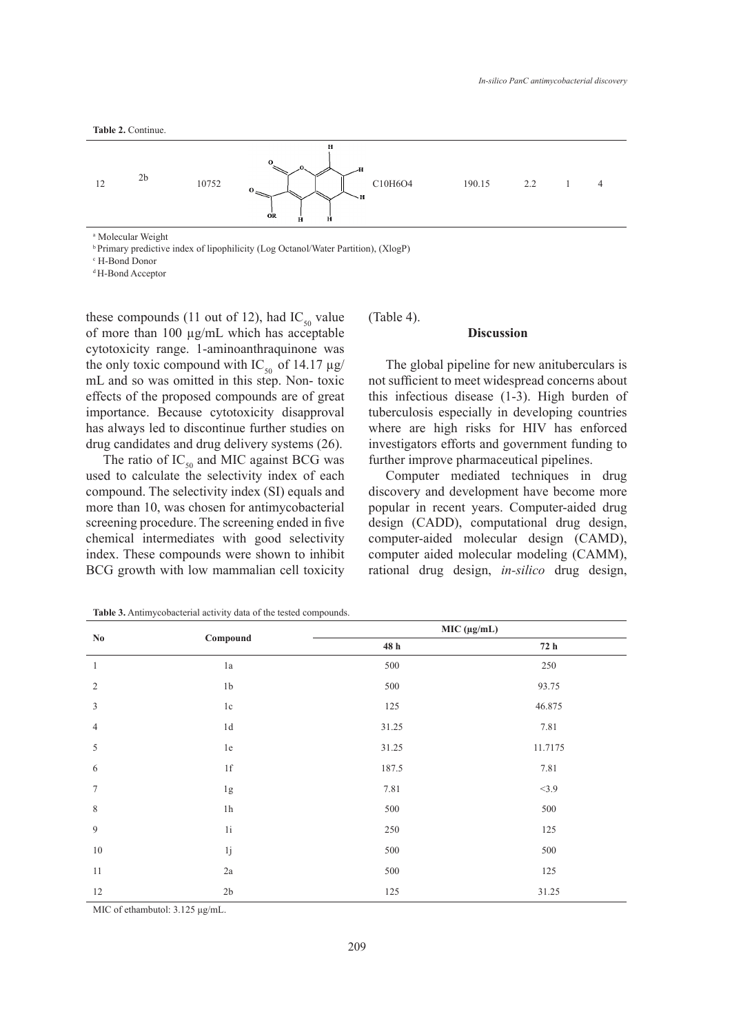

a Molecular Weight

<sup>b</sup> Primary predictive index of lipophilicity (Log Octanol/Water Partition), (XlogP)

c H-Bond Donor

d H-Bond Acceptor

these compounds (11 out of 12), had  $IC_{50}$  value of more than 100 µg/mL which has acceptable cytotoxicity range. 1-aminoanthraquinone was the only toxic compound with  $IC_{50}$  of 14.17  $\mu$ g/ mL and so was omitted in this step. Non- toxic effects of the proposed compounds are of great importance. Because cytotoxicity disapproval has always led to discontinue further studies on drug candidates and drug delivery systems (26).

The ratio of  $IC_{50}$  and MIC against BCG was used to calculate the selectivity index of each compound. The selectivity index (SI) equals and more than 10, was chosen for antimycobacterial screening procedure. The screening ended in five chemical intermediates with good selectivity index. These compounds were shown to inhibit BCG growth with low mammalian cell toxicity (Table 4).

#### **Discussion**

The global pipeline for new anituberculars is not sufficient to meet widespread concerns about this infectious disease (1-3). High burden of tuberculosis especially in developing countries where are high risks for HIV has enforced investigators efforts and government funding to further improve pharmaceutical pipelines.

Computer mediated techniques in drug discovery and development have become more popular in recent years. Computer-aided drug design (CADD), computational drug design, computer-aided molecular design (CAMD), computer aided molecular modeling (CAMM), rational drug design, *in-silico* drug design,

| $\mathbf{N}\mathbf{0}$ |                          | MIC (μg/mL)      |         |  |
|------------------------|--------------------------|------------------|---------|--|
|                        | Compound                 | $48\ \mathrm{h}$ | 72h     |  |
| $\mathbf{1}$           | 1a                       | 500              | 250     |  |
| $\overline{2}$         | 1 <sub>b</sub>           | 500              | 93.75   |  |
| $\mathfrak{Z}$         | 1c                       | 125              | 46.875  |  |
| $\overline{4}$         | 1d                       | 31.25            | 7.81    |  |
| $\sqrt{5}$             | 1e                       | 31.25            | 11.7175 |  |
| 6                      | $1\ensuremath{\mbox{f}}$ | 187.5            | 7.81    |  |
| $\tau$                 | 1g                       | 7.81             | <3.9    |  |
| $\,$ 8 $\,$            | $1\mathrm{h}$            | $500\,$          | 500     |  |
| $\overline{9}$         | $1i$                     | 250              | 125     |  |
| $10\,$                 | 1j                       | 500              | 500     |  |
| 11                     | $2\mathrm{a}$            | 500              | 125     |  |
| 12                     | 2b                       | 125              | 31.25   |  |

**Table 3.** Antimycobacterial activity data of the tested compounds.

MIC of ethambutol: 3.125 μg/mL.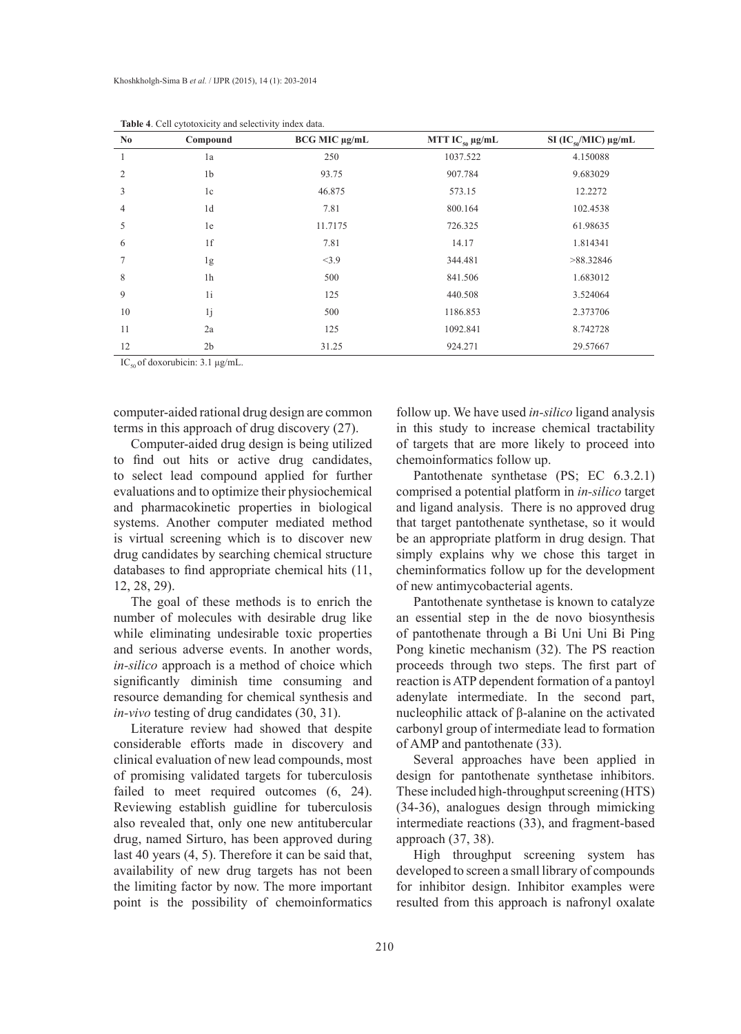| N <sub>0</sub> | Compound       | BCG MIC µg/mL | MTT $IC_{50} \mu g/mL$ | SI $(IC_{50}/MIC) \mu g/mL$ |
|----------------|----------------|---------------|------------------------|-----------------------------|
| -1             | 1a             | 250           | 1037.522               | 4.150088                    |
| $\overline{2}$ | 1 <sub>b</sub> | 93.75         | 907.784                | 9.683029                    |
| 3              | 1c             | 46.875        | 573.15                 | 12.2272                     |
| 4              | 1 <sub>d</sub> | 7.81          | 800.164                | 102.4538                    |
| 5              | 1e             | 11.7175       | 726.325                | 61.98635                    |
| 6              | 1f             | 7.81          | 14.17                  | 1.814341                    |
| 7              | 1g             | <3.9          | 344.481                | >88.32846                   |
| 8              | 1 <sub>h</sub> | 500           | 841.506                | 1.683012                    |
| 9              | 1i             | 125           | 440.508                | 3.524064                    |
| 10             | 1j             | 500           | 1186.853               | 2.373706                    |
| 11             | 2a             | 125           | 1092.841               | 8.742728                    |
| 12             | 2 <sub>b</sub> | 31.25         | 924.271                | 29.57667                    |

**Table 4**. Cell cytotoxicity and selectivity index data.

IC<sub>50</sub> of doxorubicin:  $3.1 \mu$ g/mL.

computer-aided rational drug design are common terms in this approach of drug discovery (27).

Computer-aided drug design is being utilized to find out hits or active drug candidates, to select lead compound applied for further evaluations and to optimize their physiochemical and pharmacokinetic properties in biological systems. Another computer mediated method is virtual screening which is to discover new drug candidates by searching chemical structure databases to find appropriate chemical hits (11, 12, 28, 29).

The goal of these methods is to enrich the number of molecules with desirable drug like while eliminating undesirable toxic properties and serious adverse events. In another words, *in-silico* approach is a method of choice which significantly diminish time consuming and resource demanding for chemical synthesis and *in-vivo* testing of drug candidates (30, 31).

Literature review had showed that despite considerable efforts made in discovery and clinical evaluation of new lead compounds, most of promising validated targets for tuberculosis failed to meet required outcomes  $(6, 24)$ . Reviewing establish guidline for tuberculosis also revealed that, only one new antitubercular drug, named Sirturo, has been approved during last 40 years (4, 5). Therefore it can be said that, availability of new drug targets has not been the limiting factor by now. The more important point is the possibility of chemoinformatics

follow up. We have used *in-silico* ligand analysis in this study to increase chemical tractability of targets that are more likely to proceed into chemoinformatics follow up.

Pantothenate synthetase (PS; EC 6.3.2.1) comprised a potential platform in *in-silico* target and ligand analysis. There is no approved drug that target pantothenate synthetase, so it would be an appropriate platform in drug design. That simply explains why we chose this target in cheminformatics follow up for the development of new antimycobacterial agents.

Pantothenate synthetase is known to catalyze an essential step in the de novo biosynthesis of pantothenate through a Bi Uni Uni Bi Ping Pong kinetic mechanism (32). The PS reaction proceeds through two steps. The first part of reaction is ATP dependent formation of a pantoyl adenylate intermediate. In the second part, nucleophilic attack of β-alanine on the activated carbonyl group of intermediate lead to formation of AMP and pantothenate (33).

Several approaches have been applied in design for pantothenate synthetase inhibitors. These included high-throughput screening (HTS) (34-36), analogues design through mimicking intermediate reactions (33), and fragment-based approach (37, 38).

High throughput screening system has developed to screen a small library of compounds for inhibitor design. Inhibitor examples were resulted from this approach is nafronyl oxalate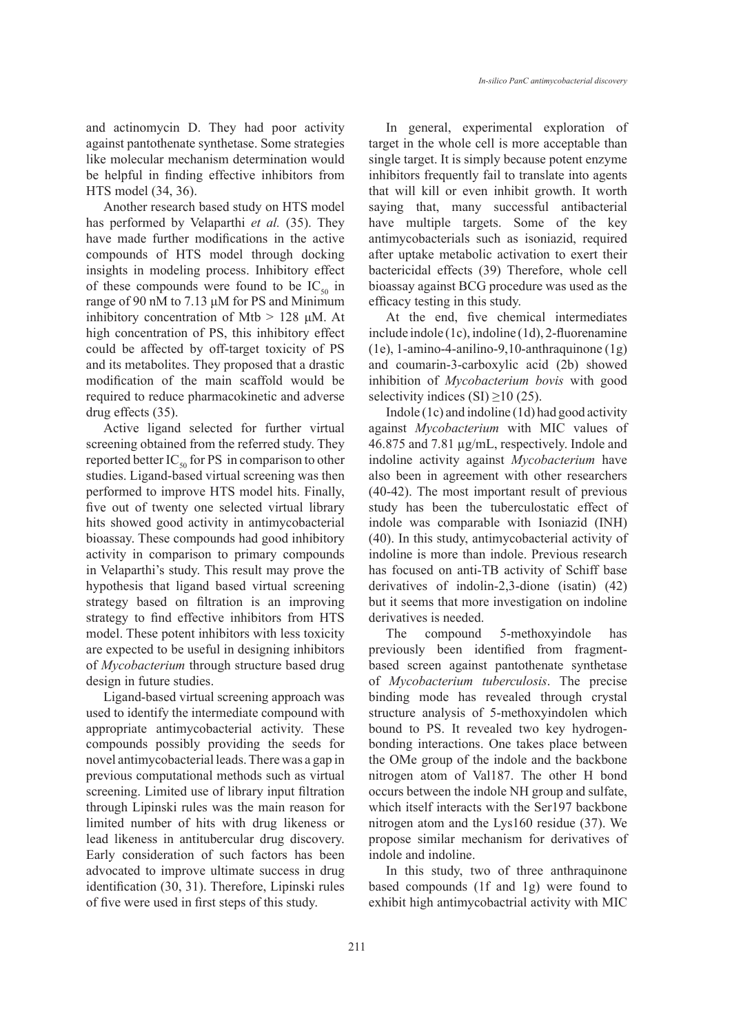and actinomycin D. They had poor activity against pantothenate synthetase. Some strategies like molecular mechanism determination would be helpful in finding effective inhibitors from HTS model (34, 36).

Another research based study on HTS model has performed by Velaparthi *et al.* (35). They have made further modifications in the active compounds of HTS model through docking insights in modeling process. Inhibitory effect of these compounds were found to be  $IC_{50}$  in range of 90 nM to 7.13 μM for PS and Minimum inhibitory concentration of Mtb  $> 128$  μM. At high concentration of PS, this inhibitory effect could be affected by off-target toxicity of PS and its metabolites. They proposed that a drastic modification of the main scaffold would be required to reduce pharmacokinetic and adverse drug effects (35).

Active ligand selected for further virtual screening obtained from the referred study. They reported better  $IC_{50}$  for PS in comparison to other studies. Ligand-based virtual screening was then performed to improve HTS model hits. Finally, five out of twenty one selected virtual library hits showed good activity in antimycobacterial bioassay. These compounds had good inhibitory activity in comparison to primary compounds in Velaparthi's study. This result may prove the hypothesis that ligand based virtual screening strategy based on filtration is an improving strategy to find effective inhibitors from HTS model. These potent inhibitors with less toxicity are expected to be useful in designing inhibitors of *Mycobacterium* through structure based drug design in future studies.

Ligand-based virtual screening approach was used to identify the intermediate compound with appropriate antimycobacterial activity. These compounds possibly providing the seeds for novel antimycobacterial leads. There was a gap in previous computational methods such as virtual screening. Limited use of library input filtration through Lipinski rules was the main reason for limited number of hits with drug likeness or lead likeness in antitubercular drug discovery. Early consideration of such factors has been advocated to improve ultimate success in drug identification (30, 31). Therefore, Lipinski rules of five were used in first steps of this study.

In general, experimental exploration of target in the whole cell is more acceptable than single target. It is simply because potent enzyme inhibitors frequently fail to translate into agents that will kill or even inhibit growth. It worth saying that, many successful antibacterial have multiple targets. Some of the key antimycobacterials such as isoniazid, required after uptake metabolic activation to exert their bactericidal effects (39) Therefore, whole cell bioassay against BCG procedure was used as the efficacy testing in this study.

At the end, five chemical intermediates include indole (1c), indoline (1d), 2-fluorenamine (1e), 1-amino-4-anilino-9,10-anthraquinone (1g) and coumarin-3-carboxylic acid (2b) showed inhibition of *Mycobacterium bovis* with good selectivity indices  $(SI) \ge 10$  (25).

Indole (1c) and indoline (1d) had good activity against *Mycobacterium* with MIC values of 46.875 and 7.81 µg/mL, respectively. Indole and indoline activity against *Mycobacterium* have also been in agreement with other researchers (40-42). The most important result of previous study has been the tuberculostatic effect of indole was comparable with Isoniazid (INH) (40). In this study, antimycobacterial activity of indoline is more than indole. Previous research has focused on anti-TB activity of Schiff base derivatives of indolin-2,3-dione (isatin) (42) but it seems that more investigation on indoline derivatives is needed.

The compound 5-methoxyindole has previously been identified from fragmentbased screen against pantothenate synthetase of *Mycobacterium tuberculosis*. The precise binding mode has revealed through crystal structure analysis of 5-methoxyindolen which bound to PS. It revealed two key hydrogenbonding interactions. One takes place between the OMe group of the indole and the backbone nitrogen atom of Val187. The other H bond occurs between the indole NH group and sulfate, which itself interacts with the Ser197 backbone nitrogen atom and the Lys160 residue (37). We propose similar mechanism for derivatives of indole and indoline.

In this study, two of three anthraquinone based compounds (1f and 1g) were found to exhibit high antimycobactrial activity with MIC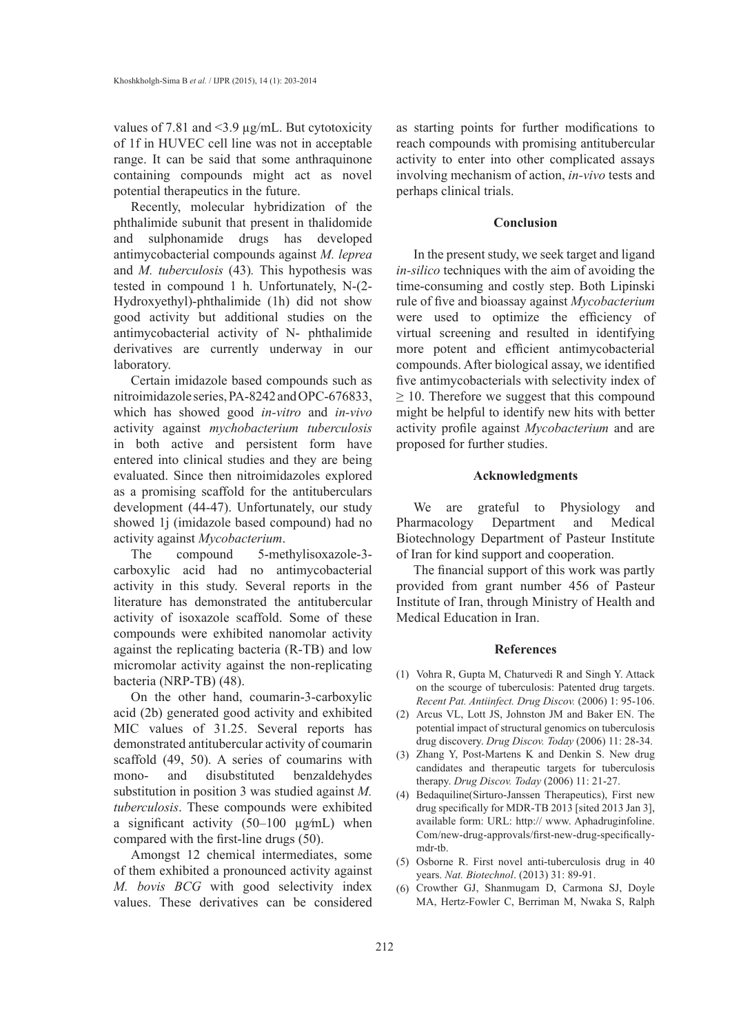values of 7.81 and <3.9 µg/mL. But cytotoxicity of 1f in HUVEC cell line was not in acceptable range. It can be said that some anthraquinone containing compounds might act as novel potential therapeutics in the future.

Recently, molecular hybridization of the phthalimide subunit that present in thalidomide and sulphonamide drugs has developed antimycobacterial compounds against *M. leprea* and *M. tuberculosis* (43)*.* This hypothesis was tested in compound 1 h. Unfortunately, N-(2- Hydroxyethyl)-phthalimide (1h) did not show good activity but additional studies on the antimycobacterial activity of N- phthalimide derivatives are currently underway in our laboratory.

Certain imidazole based compounds such as nitroimidazole series, PA-8242 and OPC-676833, which has showed good *in-vitro* and *in-vivo* activity against *mychobacterium tuberculosis* in both active and persistent form have entered into clinical studies and they are being evaluated. Since then nitroimidazoles explored as a promising scaffold for the antituberculars development (44-47). Unfortunately, our study showed 1j (imidazole based compound) had no activity against *Mycobacterium*.

The compound 5-methylisoxazole-3 carboxylic acid had no antimycobacterial activity in this study. Several reports in the literature has demonstrated the antitubercular activity of isoxazole scaffold. Some of these compounds were exhibited nanomolar activity against the replicating bacteria (R-TB) and low micromolar activity against the non-replicating bacteria (NRP-TB) (48).

On the other hand, coumarin-3-carboxylic acid (2b) generated good activity and exhibited MIC values of 31.25. Several reports has demonstrated antitubercular activity of coumarin scaffold (49, 50). A series of coumarins with mono- and disubstituted benzaldehydes substitution in position 3 was studied against *M. tuberculosis*. These compounds were exhibited a significant activity  $(50-100 \mu g/mL)$  when compared with the first-line drugs (50).

Amongst 12 chemical intermediates, some of them exhibited a pronounced activity against *M. bovis BCG* with good selectivity index values. These derivatives can be considered as starting points for further modifications to reach compounds with promising antitubercular activity to enter into other complicated assays involving mechanism of action, *in-vivo* tests and perhaps clinical trials.

## **Conclusion**

In the present study, we seek target and ligand *in-silico* techniques with the aim of avoiding the time-consuming and costly step. Both Lipinski rule of five and bioassay against *Mycobacterium* were used to optimize the efficiency of virtual screening and resulted in identifying more potent and efficient antimycobacterial compounds. After biological assay, we identified five antimycobacterials with selectivity index of  $\geq$  10. Therefore we suggest that this compound might be helpful to identify new hits with better activity profile against *Mycobacterium* and are proposed for further studies.

### **Acknowledgments**

We are grateful to Physiology and Pharmacology Department and Medical Biotechnology Department of Pasteur Institute of Iran for kind support and cooperation.

The financial support of this work was partly provided from grant number 456 of Pasteur Institute of Iran, through Ministry of Health and Medical Education in Iran.

# **References**

- $(1)$  Vohra R, Gupta M, Chaturvedi R and Singh Y. Attack on the scourge of tuberculosis: Patented drug targets. *Recent Pat. Antiinfect. Drug Discov.* (2006) 1: 95-106.
- (2) Arcus VL, Lott JS, Johnston JM and Baker EN. The potential impact of structural genomics on tuberculosis drug discovery. *Drug Discov. Today* (2006) 11: 28-34.
- (3) Zhang Y, Post-Martens K and Denkin S. New drug candidates and therapeutic targets for tuberculosis therapy. *Drug Discov. Today* (2006) 11: 21-27.
- (4) Bedaquiline(Sirturo-Janssen Therapeutics), First new drug specifically for MDR-TB 2013 [sited 2013 Jan 3], available form: URL: http:// www. Aphadruginfoline. Com/new-drug-approvals/first-new-drug-specificallymdr-tb.
- Osborne R. First novel anti-tuberculosis drug in 40 (5) years. *Nat. Biotechnol*. (2013) 31: 89-91.
- Crowther GJ, Shanmugam D, Carmona SJ, Doyle (6) MA, Hertz-Fowler C, Berriman M, Nwaka S, Ralph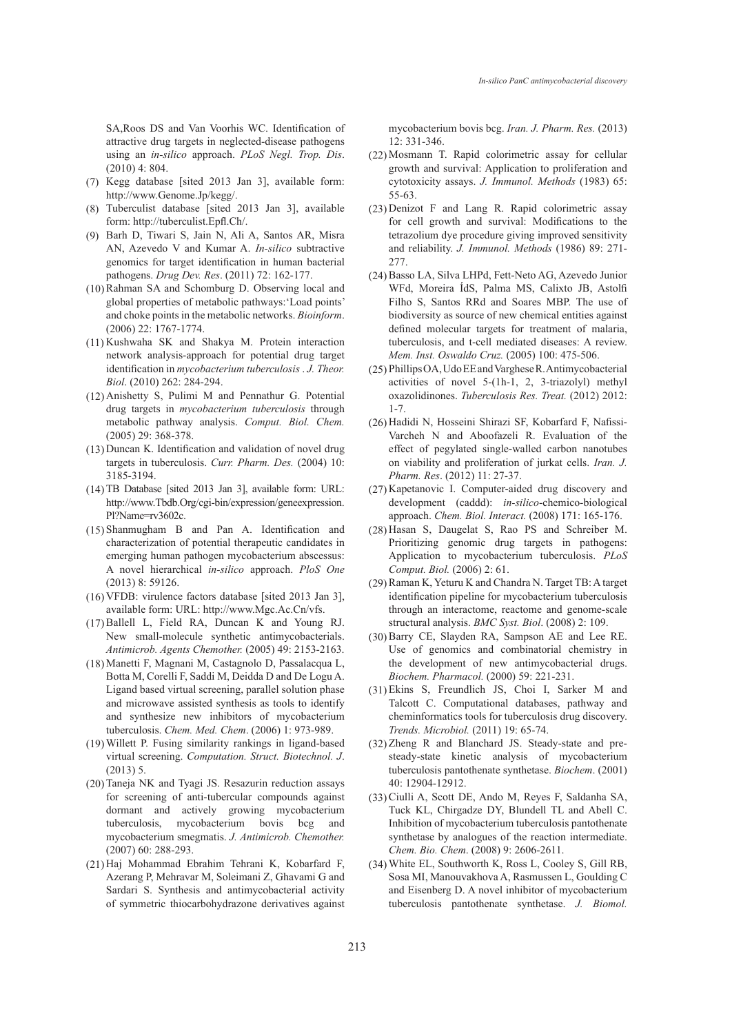SA,Roos DS and Van Voorhis WC. Identification of attractive drug targets in neglected-disease pathogens using an *in-silico* approach. *PLoS Negl. Trop. Dis*. (2010) 4: 804.

- $(7)$  Kegg database [sited 2013 Jan 3], available form: http://www.Genome.Jp/kegg/.
- Tuberculist database [sited 2013 Jan 3], available (8) form: http://tuberculist.Epfl.Ch/.
- Barh D, Tiwari S, Jain N, Ali A, Santos AR, Misra (9) AN, Azevedo V and Kumar A. *In-silico* subtractive genomics for target identification in human bacterial pathogens. *Drug Dev. Res*. (2011) 72: 162-177.
- (10) Rahman SA and Schomburg D. Observing local and global properties of metabolic pathways:'Load points' and choke points in the metabolic networks. *Bioinform*. (2006) 22: 1767-1774.
- $(11)$  Kushwaha SK and Shakya M. Protein interaction network analysis-approach for potential drug target identification in *mycobacterium tuberculosis* . *J. Theor. Biol*. (2010) 262: 284-294.
- $(12)$  Anishetty S, Pulimi M and Pennathur G. Potential drug targets in *mycobacterium tuberculosis* through metabolic pathway analysis. *Comput. Biol. Chem.* (2005) 29: 368-378.
- (13) Duncan K. Identification and validation of novel drug targets in tuberculosis. *Curr. Pharm. Des.* (2004) 10: 3185-3194.
- $(14)$  TB Database [sited 2013 Jan 3], available form: URL: http://www.Tbdb.Org/cgi-bin/expression/geneexpression. Pl?Name=rv3602c.
- $(15)$  Shanmugham B and Pan A. Identification and characterization of potential therapeutic candidates in emerging human pathogen mycobacterium abscessus: A novel hierarchical *in-silico* approach. *PloS One* (2013) 8: 59126.
- VFDB: virulence factors database [sited 2013 Jan 3], (16) available form: URL: http://www.Mgc.Ac.Cn/vfs.
- $(17)$  Ballell L, Field RA, Duncan K and Young RJ. New small-molecule synthetic antimycobacterials. *Antimicrob. Agents Chemother.* (2005) 49: 2153-2163.
- Manetti F, Magnani M, Castagnolo D, Passalacqua L, (18) Botta M, Corelli F, Saddi M, Deidda D and De Logu A. Ligand based virtual screening, parallel solution phase and microwave assisted synthesis as tools to identify and synthesize new inhibitors of mycobacterium tuberculosis. *Chem. Med. Chem*. (2006) 1: 973-989.
- Willett P. Fusing similarity rankings in ligand-based (19) virtual screening. *Computation. Struct. Biotechnol. J*.  $(2013)$  5.
- (20) Taneja NK and Tyagi JS. Resazurin reduction assays for screening of anti-tubercular compounds against dormant and actively growing mycobacterium tuberculosis, mycobacterium bovis bcg and mycobacterium smegmatis. *J. Antimicrob. Chemother.* (2007) 60: 288-293.
- (21) Haj Mohammad Ebrahim Tehrani K, Kobarfard F, Azerang P, Mehravar M, Soleimani Z, Ghavami G and Sardari S. Synthesis and antimycobacterial activity of symmetric thiocarbohydrazone derivatives against

mycobacterium bovis bcg. *Iran. J. Pharm. Res.* (2013) 12: 331-346.

- (22) Mosmann T. Rapid colorimetric assay for cellular growth and survival: Application to proliferation and cytotoxicity assays. *J. Immunol. Methods* (1983) 65: 55-63.
- Denizot F and Lang R. Rapid colorimetric assay (23) for cell growth and survival: Modifications to the tetrazolium dye procedure giving improved sensitivity and reliability. *J. Immunol. Methods* (1986) 89: 271- 277.
- (24) Basso LA, Silva LHPd, Fett-Neto AG, Azevedo Junior WFd, Moreira ÍdS, Palma MS, Calixto JB, Astolfi Filho S, Santos RRd and Soares MBP. The use of biodiversity as source of new chemical entities against defined molecular targets for treatment of malaria, tuberculosis, and t-cell mediated diseases: A review. *Mem. Inst. Oswaldo Cruz.* (2005) 100: 475-506.
- Phillips OA, Udo EE and Varghese R. Antimycobacterial (25) activities of novel 5-(1h-1, 2, 3-triazolyl) methyl oxazolidinones. *Tuberculosis Res. Treat.* (2012) 2012: 1-7.
- (26) Hadidi N, Hosseini Shirazi SF, Kobarfard F, Nafissi-Varcheh N and Aboofazeli R. Evaluation of the effect of pegylated single-walled carbon nanotubes on viability and proliferation of jurkat cells. *Iran. J. Pharm. Res*. (2012) 11: 27-37.
- (27) Kapetanovic I. Computer-aided drug discovery and development (caddd): *in-silico*-chemico-biological approach. *Chem. Biol. Interact.* (2008) 171: 165-176.
- Hasan S, Daugelat S, Rao PS and Schreiber M. (28) Prioritizing genomic drug targets in pathogens: Application to mycobacterium tuberculosis. *PLoS Comput. Biol.* (2006) 2: 61.
- (29) Raman K, Yeturu K and Chandra N. Target TB: A target identification pipeline for mycobacterium tuberculosis through an interactome, reactome and genome-scale structural analysis. *BMC Syst. Biol*. (2008) 2: 109.
- (30) Barry CE, Slayden RA, Sampson AE and Lee RE. Use of genomics and combinatorial chemistry in the development of new antimycobacterial drugs. *Biochem. Pharmacol.* (2000) 59: 221-231.
- Ekins S, Freundlich JS, Choi I, Sarker M and (31) Talcott C. Computational databases, pathway and cheminformatics tools for tuberculosis drug discovery. *Trends. Microbiol.* (2011) 19: 65-74.
- (32) Zheng R and Blanchard JS. Steady-state and presteady-state kinetic analysis of mycobacterium tuberculosis pantothenate synthetase. *Biochem*. (2001) 40: 12904-12912.
- (33) Ciulli A, Scott DE, Ando M, Reyes F, Saldanha SA, Tuck KL, Chirgadze DY, Blundell TL and Abell C. Inhibition of mycobacterium tuberculosis pantothenate synthetase by analogues of the reaction intermediate. *Chem. Bio. Chem*. (2008) 9: 2606-2611.
- White EL, Southworth K, Ross L, Cooley S, Gill RB, (34)Sosa MI, Manouvakhova A, Rasmussen L, Goulding C and Eisenberg D. A novel inhibitor of mycobacterium tuberculosis pantothenate synthetase. *J. Biomol.*